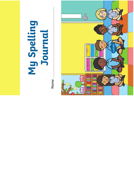# **My Spelling Journal**

**Name** 

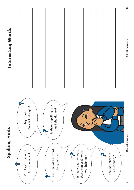

### Interesting Words **Interesting Words**

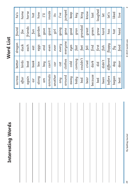Interesting Words **Interesting Words**

#### inside jumped around clothes everyone gone jumped home horse keep king animals can't even giant inside he's after birds duck fox home key again boat each friends horse worl  $I've$ hot along box eggs garden how  $I'll$ away cold eyes good keep its across better dragon found he's any cat every going I've air book eat fun hot baby coming fast gran key am boy end gave I'll another car ever girl its garden friends found giant going gave gone gran good  $f_{\mathsf{OX}}$  $fun$ girl Word List **Word List** everyone dragon duck each every eggs even eyes ever end fast eat couldn't clothes coming birds better book  $can't$ boat cold hoq xoq car  $cat$

animals

 $am$ 

again

 $air$ 

along

across

after

another

around

any

away

baby

bad

bad couldn't feet grandad king

feet

grandad

bear cried fell great know

fell

cried

bear

great

know

 $last$ 

green

because dark [ind green | last

dark

because

find

bed did first grow laughed

first

did

bed

grow

laughed

let

hard

been | didn't | fish | hard | let

 $d$  $idn't$ 

been

fish

before different floppy has let's

different

before

floppy

began dog fly hat liked

dog

began

fly

liked

hat

live

head

 $let's$ 

has

best door food head live

door

best

food

My Spelling Journal **My Spelling Journal**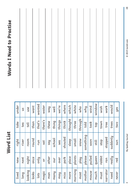#### Word List **Word List**

| lived | new    | right     | take        | under  |
|-------|--------|-----------|-------------|--------|
|       | next   | river     | tea         | ST     |
|       | night  | moon      | <b>Lell</b> | use    |
|       | once   | round     | than        | want   |
|       | pluo   | run       | that's      | wanted |
|       | JO     | sat       | there's     | water  |
|       | other  | hos       | these       | how    |
|       | our    | school    | thing       | well   |
|       | over   | pas       | things      | we're  |
|       | park   | shouted   | think       | where  |
|       | place  | sleep     | thought     | which  |
|       | plants | small     | three       | white  |
|       | play   | snow      | through     | who    |
|       | please | something | told        | hym    |
|       | pulled | soon      | took        | wind   |
|       | queen  | still     | top         | window |
|       | rabbit | stop      | town        | wish   |
|       | ran    | stopped   | tree        | work   |
|       | really | suddenly  | trees       | would  |
|       | red    | sun       | two         | yes    |
|       |        |           |             |        |

## **Words I Need to Practise Words I Need to Practise**

 $\omega$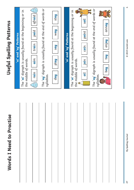| Useful Spelling Patterns        | 'ai' and 'ay' Patterns | The <b>'ai'</b> digraph is usually found at the beginning or in<br>the middle of words. | $\begin{pmatrix} 1 \\ 1 \\ 0 \end{pmatrix}$<br>afraid<br>paid<br>train<br>aim<br>rain<br>$\begin{pmatrix} 1 \\ 1 \\ 0 \end{pmatrix}$ | The <b>'ay'</b> digraph is usually found at the end of words or | syllables. | stay<br>how<br>Say<br>play<br>day | 'oi' and 'oy' Patterns | The <b>'oi'</b> digraph is usually found at the beginning or in<br>the middle of words. | soil<br>point<br>coin<br>ioin<br><b>Jio</b> | The <b>'oy'</b> digraph is usually found at the end of words or | syllables. | dnnoy<br>enjoy<br>toy<br><b>Roq</b><br>$\binom{16}{10}$ |  |
|---------------------------------|------------------------|-----------------------------------------------------------------------------------------|--------------------------------------------------------------------------------------------------------------------------------------|-----------------------------------------------------------------|------------|-----------------------------------|------------------------|-----------------------------------------------------------------------------------------|---------------------------------------------|-----------------------------------------------------------------|------------|---------------------------------------------------------|--|
| <b>Words I Need to Practise</b> |                        |                                                                                         |                                                                                                                                      |                                                                 |            |                                   |                        |                                                                                         |                                             |                                                                 |            |                                                         |  |

@ 2019 twinkl.com **@** 2019 twinkl.com

 $\blacktriangleleft$ 

My Spelling Journal **My Spelling Journal** 

**27**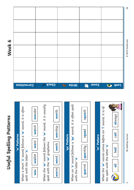## Useful Spelling Patterns **Useful Spelling Patterns**

#### 'w' Patterns **w**' Patterns

When a short ' **o**' sound follows a ' **w**' sound, it is often spelt with the letter ' When a short '**o**' sound follows a '**w**' sound, it is often<br>spelt with the letter '**a**'.

| vande      |  |
|------------|--|
| vatch      |  |
| vant       |  |
| vallet     |  |
| <b>Nas</b> |  |

**w**' sound, it is usually When the **'ur'** sound follows the **'w'** sound, it is usually When the '**ur**' sound follows the ' spelt with the 'or' grapheme. spelt with the '**or**' grapheme.

| ş      |
|--------|
| WOLK   |
| Word   |
| $Norm$ |

| ١<br>׃      |
|-------------|
|             |
| ≘<br>vorshi |
|             |
|             |

#### 'qu' Pattern 'qu' Pattern

When an 'o' sound follows a '**qu'** sound, it is often spelt **o**' sound follows a '**qu**' sound, it is often spelt with the letter 'a'. with the letter  $^{\prime}$ When an '

| pmpps        |  |
|--------------|--|
| <b>Tuant</b> |  |
| auarrey      |  |

s**qua**sh

|              | When the ' $\mathsf{or}'$ sound comes before an 'I' sound, it is of- | always |
|--------------|----------------------------------------------------------------------|--------|
| 'or' Pattern |                                                                      | call   |
|              |                                                                      | ball   |
|              | ten spelt with the letter 'a'                                        |        |

| Corrections | Check | $\rightarrow$ $\rightarrow$ $\rightarrow$ $\rightarrow$ | COVEL<br>F | <b>D</b> 4007 |
|-------------|-------|---------------------------------------------------------|------------|---------------|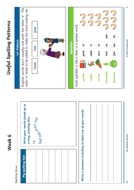

© 2019 twinkl.com **@** 2019 twinkl.com

 $\circ$ 

My Spelling Journal **My Spelling Journal**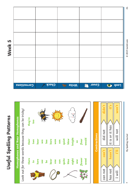## Useful Spelling Patterns **Useful Spelling Patterns**

# Homophones and Near Homophones **Homophones and Near Homophones**

Look out for these words because they can be tricky! Look out for these words because they can be tricky!

| they're | $\overline{\phantom{0}}$ |            |  | ACCINE |  |                                                             |                       |  |
|---------|--------------------------|------------|--|--------|--|-------------------------------------------------------------|-----------------------|--|
| their   | two<br>hear              |            |  |        |  | sea<br>bare<br>won<br>son<br>blew<br>blur<br>flour<br>flour |                       |  |
| there   |                          | to<br>here |  |        |  | see<br>bear<br>one sun due<br>due due                       | sew<br>[lower<br>wood |  |
|         |                          |            |  |        |  |                                                             |                       |  |



| <u>Lŋ</u> |  |
|-----------|--|
| <u>ڀ</u>  |  |
| 99        |  |
|           |  |

| Corrections | Check | $\rightarrow$ $\rightarrow$ $\rightarrow$ $\rightarrow$ $\rightarrow$ | Cover<br>F | <b>DOP</b> 4007 |
|-------------|-------|-----------------------------------------------------------------------|------------|-----------------|
|             |       |                                                                       |            |                 |
|             |       |                                                                       |            |                 |
|             |       |                                                                       |            |                 |
|             |       |                                                                       |            |                 |
|             |       |                                                                       |            |                 |
|             |       |                                                                       |            |                 |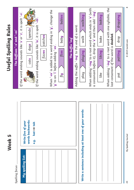

Spelling focus: Spelling focus:

| words backwards:<br>Write five of your<br>hat -> tah<br>$\ddot{e}$ . | Write a sentence including at least one of your words: |
|----------------------------------------------------------------------|--------------------------------------------------------|
| My spelling list:                                                    |                                                        |

## Useful Spelling Rules **Useful Spelling Rules**



**@** 2019 twinkl.com

© 2019 twinkl.com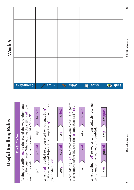## Useful Spelling Rules **Useful Spelling Rules**

#### The Suffix '-ed' The Suffix '-ed'

Adding the suffix **'-ed**' to the end of the word often puts Adding the suffix **'-ed'** to the end of the word often puts it into the past tense. When adding the suffix '-ed' to a it into the past tense. When adding the suffix '-**ed**' to a **t**'. **d**' or ' word, the endings sometimes sound like '



When **'-ed'** is added to a root word which ends in **'y'**<br>(with a consonant before it), change the **'y'** to an **'i'** be**y**' to an '**i**' be-When '**-ed**' is added to a root word which ends in ' (with a consonant before it), change the ' fore adding '**-ed**'. fore adding '-**ed**'.



cried

When adding '-ed' to a root word which ends in 'e' (with a consonant before it), drop the '**e**' and then add '-**ed**'. **e**' and then add '**-ed**'. When adding '**-ed**' to a root word which ends in ' a consonant before it), drop the '



consonant of the root word is **doubled**. consonant of the root word is doubled





| Corrections | <b>Sheck</b> | $\rightarrow$ $\rightarrow$ $\rightarrow$ $\rightarrow$ $\rightarrow$ | Cover<br>$\mathbb{F}$ | <b>D</b> 4007 |
|-------------|--------------|-----------------------------------------------------------------------|-----------------------|---------------|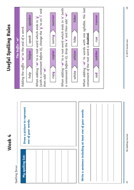| J      |
|--------|
| V      |
| Ø.     |
| ğ<br>O |
|        |
|        |
|        |

Spelling focus: Spelling focus:

| Draw a picture to represent<br>one of your words: | Write a sentence including at least one of your words: |
|---------------------------------------------------|--------------------------------------------------------|
| <b>My spelling list:</b>                          |                                                        |

## Useful Spelling Rules **Useful Spelling Rules**

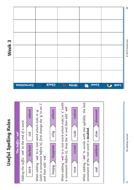## Useful Spelling Rules **Useful Spelling Rules**

Week<sub>3</sub>



| Corrections | <b>Check</b> | Write | Cover 1 | 0 4007 |
|-------------|--------------|-------|---------|--------|
|             |              |       |         |        |
|             |              |       |         |        |
|             |              |       |         |        |
|             |              |       |         |        |
|             |              |       |         |        |
|             |              |       |         |        |
|             |              |       |         |        |
|             |              |       |         |        |
|             |              |       |         |        |
|             |              |       |         |        |
|             |              |       |         |        |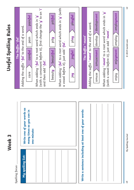| m |
|---|
| v |
| O |
| b |
|   |
|   |
|   |

Spelling focus: Spelling focus:

| Write one of your words as<br>many times as you can in<br>one minute: | Write a sentence including at least one of your words: |  |
|-----------------------------------------------------------------------|--------------------------------------------------------|--|
| My spelling list:                                                     |                                                        |  |

## Useful Spelling Rules **Useful Spelling Rules**

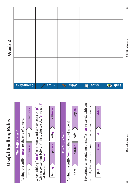## Useful Spelling Rules **Useful Spelling Rules**



|                   | Corrections | <b>Check</b> | <b>Nrite</b> | Cover<br>$\mathbb{R}$<br>Ū, | <b>D</b> 4007 |
|-------------------|-------------|--------------|--------------|-----------------------------|---------------|
|                   |             |              |              |                             |               |
|                   |             |              |              |                             |               |
| Week <sub>2</sub> |             |              |              |                             |               |
|                   |             |              |              |                             |               |
|                   |             |              |              |                             |               |
|                   |             |              |              |                             |               |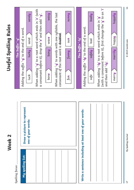first change the **'y**' to an '**i'** When adding '**-y**' to a root word which ends in '**e**' (with (with a consonant before it), first change the '**y**' to an '**i**' When adding '-**y**' to a root word which ends in '**e**' (with When adding '**-y**' to words with one syllable, the last a consonant before it), drop the '**e**' and then add '-**y**'. a consonant before it), drop the '**e**' and then add '**-y**'. Manh When adding '-**y**' to words with one syllable, the last Sunny sandy badly happily bone > bony || wave > wavy fu**n** su**nny** su**n** merr**y** happ**ily** happ**y** luck sand**y** sand safe bad**ly** bad When adding '**-ly**' to a root word which ends in '**y**' When adding '-**ly**' to a root word which ends in '**y**' Useful Spelling Rules **Useful Spelling Rules** Adding the suffix '-**ly**' to the end of a word. Adding the suffix '-**ly**' to the end of a word. Adding the suffix '-**y**' to the end of a word. Adding the suffix '-**y**' to the end of a word. consonant of the root word is doubled. consonant of the root word is **doubled**. **Addpy** wave sand sun The Suffix '-ly' bad The Suffix '-y' The Suffix '-ly' The Suffix '-y' luck**y** bon**y** (with a consonant before it), safe**ly** merr**ily** fu**nny** and then add '-**ly**'. and then add '**-ly**'. merry bone luck  $\sup$  $f$ un **Draw a picture to represent**  Draw a picture to represent Write a sentence including at least one of your words: **Write a sentence including at least one of your words:** one of your words: **one of your words: Week 2** My spelling list: **My spelling list:** Spelling focus: Spelling focus:

@ 2019 twinkl.com **@** 2019 twinkl.com

 $17$ 

**My Spelling Journal** 

My Spelling Journal